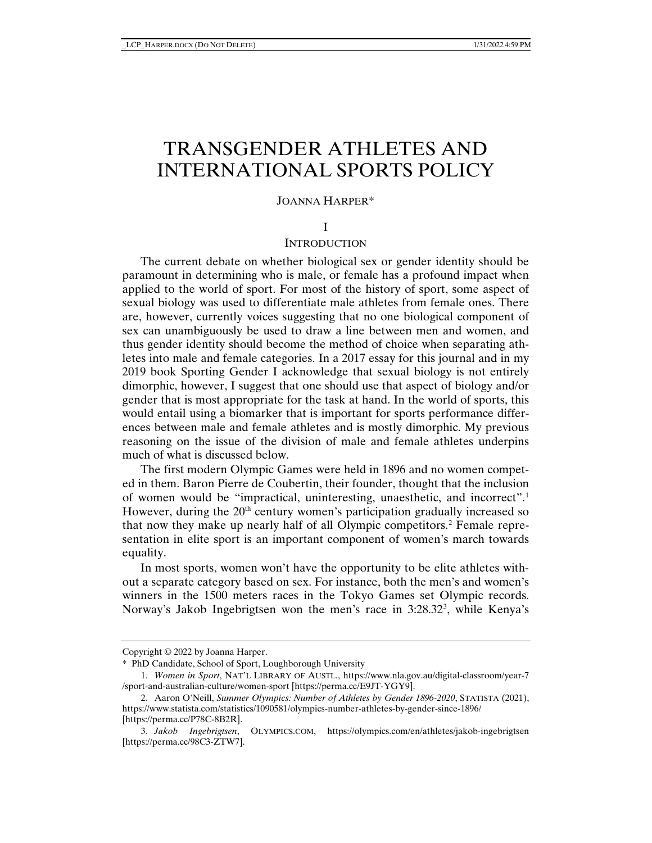# TRANSGENDER ATHLETES AND INTERNATIONAL SPORTS POLICY

#### JOANNA HARPER\*

#### I

## **INTRODUCTION**

The current debate on whether biological sex or gender identity should be paramount in determining who is male, or female has a profound impact when applied to the world of sport. For most of the history of sport, some aspect of sexual biology was used to differentiate male athletes from female ones. There are, however, currently voices suggesting that no one biological component of sex can unambiguously be used to draw a line between men and women, and thus gender identity should become the method of choice when separating athletes into male and female categories. In a 2017 essay for this journal and in my 2019 book Sporting Gender I acknowledge that sexual biology is not entirely dimorphic, however, I suggest that one should use that aspect of biology and/or gender that is most appropriate for the task at hand. In the world of sports, this would entail using a biomarker that is important for sports performance differences between male and female athletes and is mostly dimorphic. My previous reasoning on the issue of the division of male and female athletes underpins much of what is discussed below.

The first modern Olympic Games were held in 1896 and no women competed in them. Baron Pierre de Coubertin, their founder, thought that the inclusion of women would be "impractical, uninteresting, unaesthetic, and incorrect".[1](#page-0-0) However, during the  $20<sup>th</sup>$  century women's participation gradually increased so that now they make up nearly half of all Olympic competitors.[2](#page-0-1) Female representation in elite sport is an important component of women's march towards equality.

In most sports, women won't have the opportunity to be elite athletes without a separate category based on sex. For instance, both the men's and women's winners in the 1500 meters races in the Tokyo Games set Olympic records. Norway's Jakob Ingebrigtsen won the men's race in [3](#page-0-2):28.32<sup>3</sup>, while Kenya's

<span id="page-0-0"></span>Copyright © 2022 by Joanna Harper.

<sup>\*</sup> PhD Candidate, School of Sport, Loughborough University

<sup>1.</sup> *Women in Sport*, NAT'L LIBRARY OF AUSTL., https://www.nla.gov.au/digital-classroom/year-7 /sport-and-australian-culture/women-sport [https://perma.cc/E9JT-YGY9].

<span id="page-0-1"></span><sup>2.</sup> Aaron O'Neill, *Summer Olympics: Number of Athletes by Gender 1896-2020*, STATISTA (2021), https://www.statista.com/statistics/1090581/olympics-number-athletes-by-gender-since-1896/ [https://perma.cc/P78C-8B2R].

<span id="page-0-2"></span><sup>3.</sup> *Jakob Ingebrigtsen*, OLYMPICS.COM, https://olympics.com/en/athletes/jakob-ingebrigtsen [https://perma.cc/98C3-ZTW7].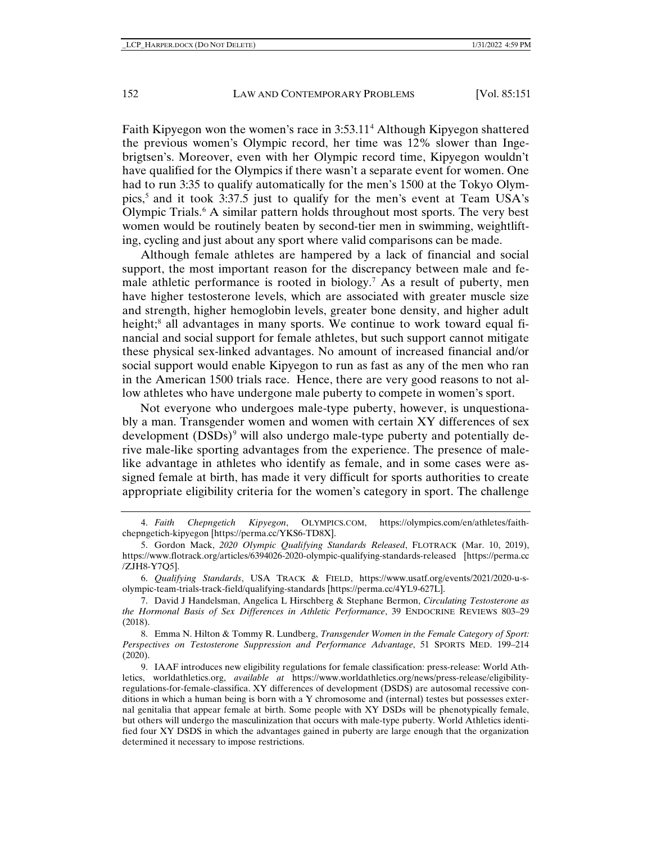Faith Kipyegon won the women's race in 3:53.11[4](#page-1-0) Although Kipyegon shattered the previous women's Olympic record, her time was 12% slower than Ingebrigtsen's. Moreover, even with her Olympic record time, Kipyegon wouldn't have qualified for the Olympics if there wasn't a separate event for women. One had to run 3:35 to qualify automatically for the men's 1500 at the Tokyo Olympics,[5](#page-1-1) and it took 3:37.5 just to qualify for the men's event at Team USA's Olympic Trials.[6](#page-1-2) A similar pattern holds throughout most sports. The very best women would be routinely beaten by second-tier men in swimming, weightlifting, cycling and just about any sport where valid comparisons can be made.

Although female athletes are hampered by a lack of financial and social support, the most important reason for the discrepancy between male and female athletic performance is rooted in biology.[7](#page-1-3) As a result of puberty, men have higher testosterone levels, which are associated with greater muscle size and strength, higher hemoglobin levels, greater bone density, and higher adult height;<sup>[8](#page-1-4)</sup> all advantages in many sports. We continue to work toward equal financial and social support for female athletes, but such support cannot mitigate these physical sex-linked advantages. No amount of increased financial and/or social support would enable Kipyegon to run as fast as any of the men who ran in the American 1500 trials race. Hence, there are very good reasons to not allow athletes who have undergone male puberty to compete in women's sport.

Not everyone who undergoes male-type puberty, however, is unquestionably a man. Transgender women and women with certain XY differences of sex development (DSDs)<sup>[9](#page-1-5)</sup> will also undergo male-type puberty and potentially derive male-like sporting advantages from the experience. The presence of malelike advantage in athletes who identify as female, and in some cases were assigned female at birth, has made it very difficult for sports authorities to create appropriate eligibility criteria for the women's category in sport. The challenge

<span id="page-1-4"></span>8. Emma N. Hilton & Tommy R. Lundberg, *Transgender Women in the Female Category of Sport: Perspectives on Testosterone Suppression and Performance Advantage*, 51 SPORTS MED. 199–214 (2020).

<span id="page-1-0"></span><sup>4.</sup> *Faith Chepngetich Kipyegon*, OLYMPICS.COM, https://olympics.com/en/athletes/faithchepngetich-kipyegon [https://perma.cc/YKS6-TD8X].

<span id="page-1-1"></span><sup>5.</sup> Gordon Mack, *2020 Olympic Qualifying Standards Released*, FLOTRACK (Mar. 10, 2019), https://www.flotrack.org/articles/6394026-2020-olympic-qualifying-standards-released [https://perma.cc /ZJH8-Y7Q5].

<span id="page-1-2"></span><sup>6.</sup> *Qualifying Standards*, USA TRACK & FIELD, https://www.usatf.org/events/2021/2020-u-solympic-team-trials-track-field/qualifying-standards [https://perma.cc/4YL9-627L].

<span id="page-1-3"></span><sup>7.</sup> David J Handelsman, Angelica L Hirschberg & Stephane Bermon, *Circulating Testosterone as the Hormonal Basis of Sex Differences in Athletic Performance*, 39 ENDOCRINE REVIEWS 803–29 (2018).

<span id="page-1-5"></span><sup>9.</sup> IAAF introduces new eligibility regulations for female classification: press-release: World Athletics, worldathletics.org, *available at* https://www.worldathletics.org/news/press-release/eligibilityregulations-for-female-classifica. XY differences of development (DSDS) are autosomal recessive conditions in which a human being is born with a Y chromosome and (internal) testes but possesses external genitalia that appear female at birth. Some people with XY DSDs will be phenotypically female, but others will undergo the masculinization that occurs with male-type puberty. World Athletics identified four XY DSDS in which the advantages gained in puberty are large enough that the organization determined it necessary to impose restrictions.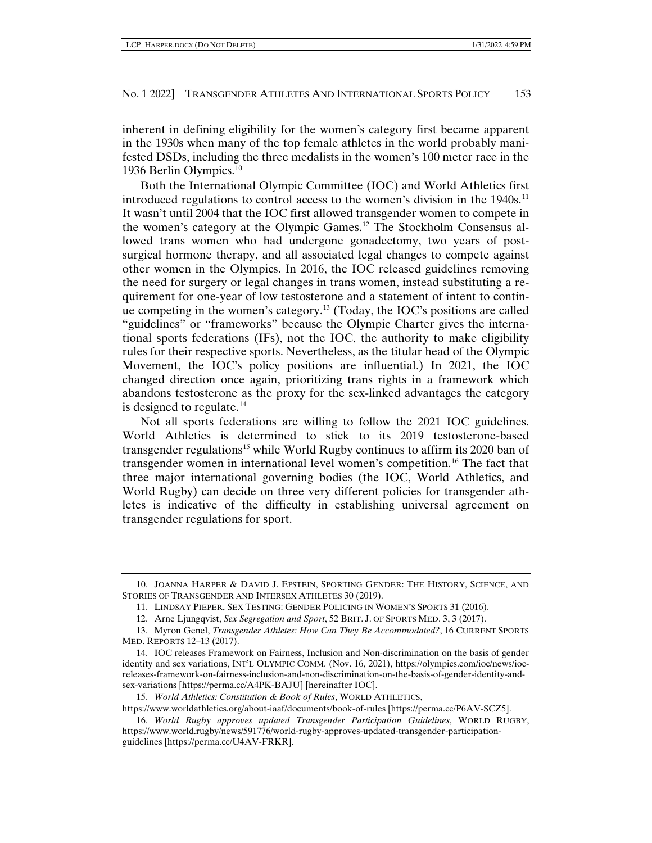inherent in defining eligibility for the women's category first became apparent in the 1930s when many of the top female athletes in the world probably manifested DSDs, including the three medalists in the women's 100 meter race in the 1936 Berlin Olympics.[10](#page-2-0)

Both the International Olympic Committee (IOC) and World Athletics first introduced regulations to control access to the women's division in the 1940s.<sup>[11](#page-2-1)</sup> It wasn't until 2004 that the IOC first allowed transgender women to compete in the women's category at the Olympic Games.[12](#page-2-2) The Stockholm Consensus allowed trans women who had undergone gonadectomy, two years of postsurgical hormone therapy, and all associated legal changes to compete against other women in the Olympics. In 2016, the IOC released guidelines removing the need for surgery or legal changes in trans women, instead substituting a requirement for one-year of low testosterone and a statement of intent to continue competing in the women's category[.13](#page-2-3) (Today, the IOC's positions are called "guidelines" or "frameworks" because the Olympic Charter gives the international sports federations (IFs), not the IOC, the authority to make eligibility rules for their respective sports. Nevertheless, as the titular head of the Olympic Movement, the IOC's policy positions are influential.) In 2021, the IOC changed direction once again, prioritizing trans rights in a framework which abandons testosterone as the proxy for the sex-linked advantages the category is designed to regulate.<sup>[14](#page-2-4)</sup>

Not all sports federations are willing to follow the 2021 IOC guidelines. World Athletics is determined to stick to its 2019 testosterone-based transgender regulations<sup>[15](#page-2-5)</sup> while World Rugby continues to affirm its 2020 ban of transgender women in international level women's competition.[16](#page-2-6) The fact that three major international governing bodies (the IOC, World Athletics, and World Rugby) can decide on three very different policies for transgender athletes is indicative of the difficulty in establishing universal agreement on transgender regulations for sport.

15. *World Athletics: Constitution & Book of Rules*, WORLD ATHLETICS,

<span id="page-2-5"></span>https://www.worldathletics.org/about-iaaf/documents/book-of-rules [https://perma.cc/P6AV-SCZ5]. 16. *World Rugby approves updated Transgender Participation Guidelines*, WORLD RUGBY,

<span id="page-2-0"></span><sup>10.</sup> JOANNA HARPER & DAVID J. EPSTEIN, SPORTING GENDER: THE HISTORY, SCIENCE, AND STORIES OF TRANSGENDER AND INTERSEX ATHLETES 30 (2019).

<sup>11.</sup> LINDSAY PIEPER, SEX TESTING: GENDER POLICING IN WOMEN'S SPORTS 31 (2016).

<sup>12.</sup> Arne Ljungqvist, *Sex Segregation and Sport*, 52 BRIT. J. OF SPORTS MED. 3, 3 (2017).

<span id="page-2-3"></span><span id="page-2-2"></span><span id="page-2-1"></span><sup>13.</sup> Myron Genel, *Transgender Athletes: How Can They Be Accommodated?*, 16 CURRENT SPORTS MED. REPORTS 12–13 (2017).

<span id="page-2-4"></span><sup>14.</sup> IOC releases Framework on Fairness, Inclusion and Non-discrimination on the basis of gender identity and sex variations, INT'L OLYMPIC COMM. (Nov. 16, 2021), https://olympics.com/ioc/news/iocreleases-framework-on-fairness-inclusion-and-non-discrimination-on-the-basis-of-gender-identity-andsex-variations [https://perma.cc/A4PK-BAJU] [hereinafter IOC].

<span id="page-2-6"></span>https://www.world.rugby/news/591776/world-rugby-approves-updated-transgender-participationguidelines [https://perma.cc/U4AV-FRKR].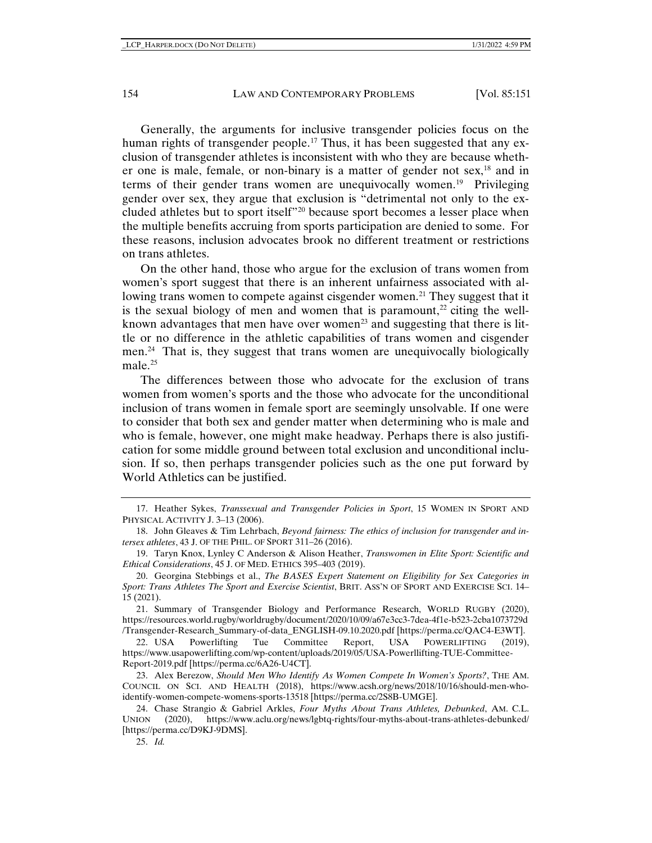Generally, the arguments for inclusive transgender policies focus on the human rights of transgender people.<sup>[17](#page-3-0)</sup> Thus, it has been suggested that any exclusion of transgender athletes is inconsistent with who they are because whether one is male, female, or non-binary is a matter of gender not  $sex$ ,<sup>[18](#page-3-1)</sup> and in terms of their gender trans women are unequivocally women.[19](#page-3-2) Privileging gender over sex, they argue that exclusion is "detrimental not only to the excluded athletes but to sport itself"[20](#page-3-3) because sport becomes a lesser place when the multiple benefits accruing from sports participation are denied to some. For these reasons, inclusion advocates brook no different treatment or restrictions on trans athletes.

On the other hand, those who argue for the exclusion of trans women from women's sport suggest that there is an inherent unfairness associated with al-lowing trans women to compete against cisgender women.<sup>[21](#page-3-4)</sup> They suggest that it is the sexual biology of men and women that is paramount,<sup>[22](#page-3-5)</sup> citing the well-known advantages that men have over women<sup>[23](#page-3-6)</sup> and suggesting that there is little or no difference in the athletic capabilities of trans women and cisgender men.[24](#page-3-7) That is, they suggest that trans women are unequivocally biologically male.<sup>[25](#page-3-8)</sup>

The differences between those who advocate for the exclusion of trans women from women's sports and the those who advocate for the unconditional inclusion of trans women in female sport are seemingly unsolvable. If one were to consider that both sex and gender matter when determining who is male and who is female, however, one might make headway. Perhaps there is also justification for some middle ground between total exclusion and unconditional inclusion. If so, then perhaps transgender policies such as the one put forward by World Athletics can be justified.

<span id="page-3-4"></span>21. Summary of Transgender Biology and Performance Research, WORLD RUGBY (2020), https://resources.world.rugby/worldrugby/document/2020/10/09/a67e3cc3-7dea-4f1e-b523-2cba1073729d /Transgender-Research\_Summary-of-data\_ENGLISH-09.10.2020.pdf [https://perma.cc/QAC4-E3WT].

<span id="page-3-5"></span>22. USA Powerlifting Tue Committee Report, USA POWERLIFTING (2019), https://www.usapowerlifting.com/wp-content/uploads/2019/05/USA-Powerllifting-TUE-Committee-Report-2019.pdf [https://perma.cc/6A26-U4CT].

<span id="page-3-6"></span>23. Alex Berezow, *Should Men Who Identify As Women Compete In Women's Sports?*, THE AM. COUNCIL ON SCI. AND HEALTH (2018), https://www.acsh.org/news/2018/10/16/should-men-whoidentify-women-compete-womens-sports-13518 [https://perma.cc/2S8B-UMGE].

<span id="page-3-0"></span><sup>17.</sup> Heather Sykes, *Transsexual and Transgender Policies in Sport*, 15 WOMEN IN SPORT AND PHYSICAL ACTIVITY J. 3-13 (2006).

<span id="page-3-1"></span><sup>18.</sup> John Gleaves & Tim Lehrbach, *Beyond fairness: The ethics of inclusion for transgender and intersex athletes*, 43 J. OF THE PHIL. OF SPORT 311–26 (2016).

<span id="page-3-2"></span><sup>19.</sup> Taryn Knox, Lynley C Anderson & Alison Heather, *Transwomen in Elite Sport: Scientific and Ethical Considerations*, 45 J. OF MED. ETHICS 395–403 (2019).

<span id="page-3-3"></span><sup>20.</sup> Georgina Stebbings et al., *The BASES Expert Statement on Eligibility for Sex Categories in Sport: Trans Athletes The Sport and Exercise Scientist*, BRIT. ASS'N OF SPORT AND EXERCISE SCI. 14– 15 (2021).

<span id="page-3-8"></span><span id="page-3-7"></span><sup>24.</sup> Chase Strangio & Gabriel Arkles, *Four Myths About Trans Athletes, Debunked*, AM. C.L. UNION (2020), https://www.aclu.org/news/lgbtq-rights/four-myths-about-trans-athletes-debunked/ [https://perma.cc/D9KJ-9DMS].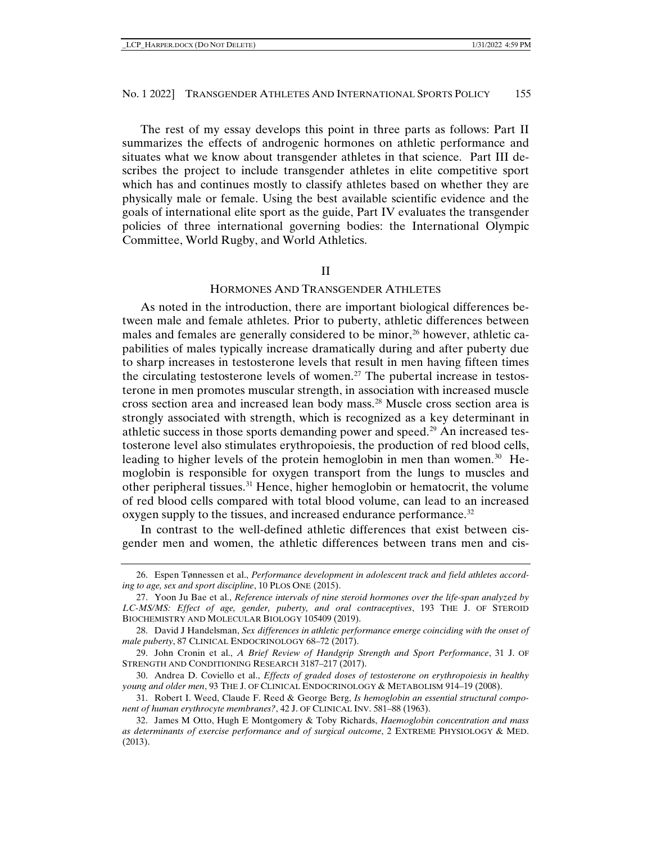The rest of my essay develops this point in three parts as follows: Part II summarizes the effects of androgenic hormones on athletic performance and situates what we know about transgender athletes in that science. Part III describes the project to include transgender athletes in elite competitive sport which has and continues mostly to classify athletes based on whether they are physically male or female. Using the best available scientific evidence and the goals of international elite sport as the guide, Part IV evaluates the transgender policies of three international governing bodies: the International Olympic Committee, World Rugby, and World Athletics.

#### II

## HORMONES AND TRANSGENDER ATHLETES

As noted in the introduction, there are important biological differences between male and female athletes. Prior to puberty, athletic differences between males and females are generally considered to be minor,<sup>[26](#page-4-0)</sup> however, athletic capabilities of males typically increase dramatically during and after puberty due to sharp increases in testosterone levels that result in men having fifteen times the circulating testosterone levels of women.<sup>[27](#page-4-1)</sup> The pubertal increase in testosterone in men promotes muscular strength, in association with increased muscle cross section area and increased lean body mass.[28](#page-4-2) Muscle cross section area is strongly associated with strength, which is recognized as a key determinant in athletic success in those sports demanding power and speed.[29](#page-4-3) An increased testosterone level also stimulates erythropoiesis, the production of red blood cells, leading to higher levels of the protein hemoglobin in men than women.<sup>[30](#page-4-4)</sup> Hemoglobin is responsible for oxygen transport from the lungs to muscles and other peripheral tissues.<sup>[31](#page-4-5)</sup> Hence, higher hemoglobin or hematocrit, the volume of red blood cells compared with total blood volume, can lead to an increased oxygen supply to the tissues, and increased endurance performance.<sup>[32](#page-4-6)</sup>

In contrast to the well-defined athletic differences that exist between cisgender men and women, the athletic differences between trans men and cis-

<span id="page-4-0"></span><sup>26.</sup> Espen Tønnessen et al., *Performance development in adolescent track and field athletes according to age, sex and sport discipline*, 10 PLOS ONE (2015).

<span id="page-4-1"></span><sup>27.</sup> Yoon Ju Bae et al., *Reference intervals of nine steroid hormones over the life-span analyzed by LC-MS/MS: Effect of age, gender, puberty, and oral contraceptives*, 193 THE J. OF STEROID BIOCHEMISTRY AND MOLECULAR BIOLOGY 105409 (2019).

<span id="page-4-2"></span><sup>28.</sup> David J Handelsman, *Sex differences in athletic performance emerge coinciding with the onset of male puberty*, 87 CLINICAL ENDOCRINOLOGY 68–72 (2017).

<span id="page-4-3"></span><sup>29.</sup> John Cronin et al., *A Brief Review of Handgrip Strength and Sport Performance*, 31 J. OF STRENGTH AND CONDITIONING RESEARCH 3187–217 (2017).

<span id="page-4-4"></span><sup>30.</sup> Andrea D. Coviello et al., *Effects of graded doses of testosterone on erythropoiesis in healthy young and older men*, 93 THE J. OF CLINICAL ENDOCRINOLOGY & METABOLISM 914–19 (2008).

<span id="page-4-5"></span><sup>31.</sup> Robert I. Weed, Claude F. Reed & George Berg, *Is hemoglobin an essential structural component of human erythrocyte membranes?*, 42 J. OF CLINICAL INV. 581–88 (1963).

<span id="page-4-6"></span><sup>32.</sup> James M Otto, Hugh E Montgomery & Toby Richards, *Haemoglobin concentration and mass as determinants of exercise performance and of surgical outcome*, 2 EXTREME PHYSIOLOGY & MED. (2013).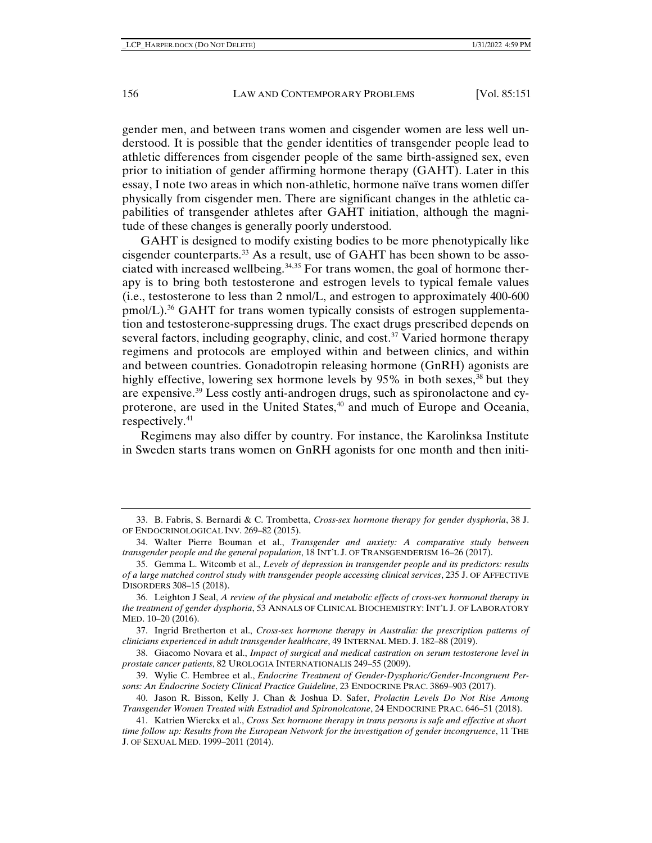gender men, and between trans women and cisgender women are less well understood. It is possible that the gender identities of transgender people lead to athletic differences from cisgender people of the same birth-assigned sex, even prior to initiation of gender affirming hormone therapy (GAHT). Later in this essay, I note two areas in which non-athletic, hormone naïve trans women differ physically from cisgender men. There are significant changes in the athletic capabilities of transgender athletes after GAHT initiation, although the magnitude of these changes is generally poorly understood.

GAHT is designed to modify existing bodies to be more phenotypically like cisgender counterparts.[33](#page-5-0) As a result, use of GAHT has been shown to be associated with increased wellbeing.[34](#page-5-1),[35](#page-5-2) For trans women, the goal of hormone therapy is to bring both testosterone and estrogen levels to typical female values (i.e., testosterone to less than 2 nmol/L, and estrogen to approximately 400-600 pmol/L).[36](#page-5-3) GAHT for trans women typically consists of estrogen supplementation and testosterone-suppressing drugs. The exact drugs prescribed depends on several factors, including geography, clinic, and cost.<sup>[37](#page-5-4)</sup> Varied hormone therapy regimens and protocols are employed within and between clinics, and within and between countries. Gonadotropin releasing hormone (GnRH) agonists are highly effective, lowering sex hormone levels by 95% in both sexes,  $38$  but they are expensive.[39](#page-5-6) Less costly anti-androgen drugs, such as spironolactone and cy-proterone, are used in the United States,<sup>[40](#page-5-7)</sup> and much of Europe and Oceania, respectively.[41](#page-5-8)

Regimens may also differ by country. For instance, the Karolinksa Institute in Sweden starts trans women on GnRH agonists for one month and then initi-

<span id="page-5-4"></span>37. Ingrid Bretherton et al., *Cross-sex hormone therapy in Australia: the prescription patterns of clinicians experienced in adult transgender healthcare*, 49 INTERNAL MED. J. 182–88 (2019).

<span id="page-5-5"></span>38. Giacomo Novara et al., *Impact of surgical and medical castration on serum testosterone level in prostate cancer patients*, 82 UROLOGIA INTERNATIONALIS 249–55 (2009).

<span id="page-5-6"></span>39. Wylie C. Hembree et al., *Endocrine Treatment of Gender-Dysphoric/Gender-Incongruent Persons: An Endocrine Society Clinical Practice Guideline*, 23 ENDOCRINE PRAC. 3869–903 (2017).

<span id="page-5-7"></span>40. Jason R. Bisson, Kelly J. Chan & Joshua D. Safer, *Prolactin Levels Do Not Rise Among Transgender Women Treated with Estradiol and Spironolcatone*, 24 ENDOCRINE PRAC. 646–51 (2018).

<span id="page-5-0"></span><sup>33.</sup> B. Fabris, S. Bernardi & C. Trombetta, *Cross-sex hormone therapy for gender dysphoria*, 38 J. OF ENDOCRINOLOGICAL INV. 269–82 (2015).

<span id="page-5-1"></span><sup>34.</sup> Walter Pierre Bouman et al., *Transgender and anxiety: A comparative study between transgender people and the general population*, 18 INT'L J. OF TRANSGENDERISM 16–26 (2017).

<span id="page-5-2"></span><sup>35.</sup> Gemma L. Witcomb et al., *Levels of depression in transgender people and its predictors: results of a large matched control study with transgender people accessing clinical services*, 235 J. OF AFFECTIVE DISORDERS 308–15 (2018).

<span id="page-5-3"></span><sup>36.</sup> Leighton J Seal, *A review of the physical and metabolic effects of cross-sex hormonal therapy in the treatment of gender dysphoria*, 53 ANNALS OF CLINICAL BIOCHEMISTRY: INT'L J. OF LABORATORY MED. 10–20 (2016).

<span id="page-5-8"></span><sup>41.</sup> Katrien Wierckx et al., *Cross Sex hormone therapy in trans persons is safe and effective at short time follow up: Results from the European Network for the investigation of gender incongruence*, 11 THE J. OF SEXUAL MED. 1999–2011 (2014).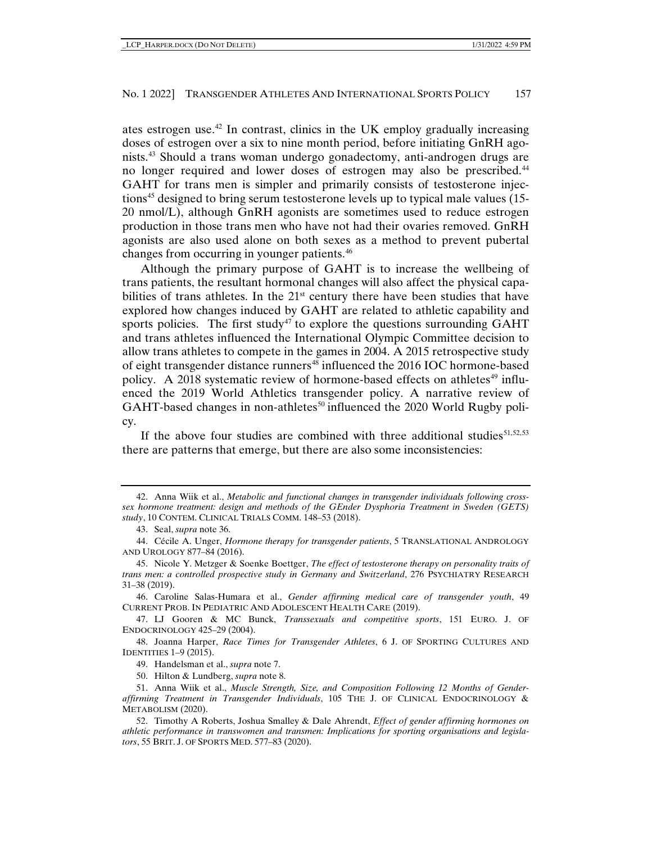ates estrogen use.[42](#page-6-0) In contrast, clinics in the UK employ gradually increasing doses of estrogen over a six to nine month period, before initiating GnRH agonists.[43](#page-6-1) Should a trans woman undergo gonadectomy, anti-androgen drugs are no longer required and lower doses of estrogen may also be prescribed[.44](#page-6-2) GAHT for trans men is simpler and primarily consists of testosterone injec-tions<sup>[45](#page-6-3)</sup> designed to bring serum testosterone levels up to typical male values (15-20 nmol/L), although GnRH agonists are sometimes used to reduce estrogen production in those trans men who have not had their ovaries removed. GnRH agonists are also used alone on both sexes as a method to prevent pubertal changes from occurring in younger patients.[46](#page-6-4)

Although the primary purpose of GAHT is to increase the wellbeing of trans patients, the resultant hormonal changes will also affect the physical capabilities of trans athletes. In the  $21<sup>st</sup>$  century there have been studies that have explored how changes induced by GAHT are related to athletic capability and sports policies. The first study<sup>[47](#page-6-5)</sup> to explore the questions surrounding  $GAHT$ and trans athletes influenced the International Olympic Committee decision to allow trans athletes to compete in the games in 2004. A 2015 retrospective study of eight transgender distance runners<sup>[48](#page-6-6)</sup> influenced the 2016 IOC hormone-based policy. A 2018 systematic review of hormone-based effects on athletes<sup>[49](#page-6-7)</sup> influenced the 2019 World Athletics transgender policy. A narrative review of GAHT-based changes in non-athletes<sup>[50](#page-6-8)</sup> influenced the 2020 World Rugby policy.

If the above four studies are combined with three additional studies $51,52,53$  $51,52,53$  $51,52,53$  $51,52,53$ there are patterns that emerge, but there are also some inconsistencies:

<span id="page-6-0"></span><sup>42.</sup> Anna Wiik et al., *Metabolic and functional changes in transgender individuals following crosssex hormone treatment: design and methods of the GEnder Dysphoria Treatment in Sweden (GETS) study*, 10 CONTEM. CLINICAL TRIALS COMM. 148–53 (2018).

<sup>43.</sup> Seal, *supra* note 36.

<span id="page-6-2"></span><span id="page-6-1"></span><sup>44.</sup> Cécile A. Unger, *Hormone therapy for transgender patients*, 5 TRANSLATIONAL ANDROLOGY AND UROLOGY 877–84 (2016).

<span id="page-6-3"></span><sup>45.</sup> Nicole Y. Metzger & Soenke Boettger, *The effect of testosterone therapy on personality traits of trans men: a controlled prospective study in Germany and Switzerland*, 276 PSYCHIATRY RESEARCH 31–38 (2019).

<span id="page-6-4"></span><sup>46.</sup> Caroline Salas-Humara et al., *Gender affirming medical care of transgender youth*, 49 CURRENT PROB. IN PEDIATRIC AND ADOLESCENT HEALTH CARE (2019).

<span id="page-6-5"></span><sup>47.</sup> LJ Gooren & MC Bunck, *Transsexuals and competitive sports*, 151 EURO. J. OF ENDOCRINOLOGY 425–29 (2004).

<span id="page-6-11"></span><span id="page-6-7"></span><span id="page-6-6"></span><sup>48.</sup> Joanna Harper, *Race Times for Transgender Athletes*, 6 J. OF SPORTING CULTURES AND IDENTITIES 1–9 (2015).

<sup>49.</sup> Handelsman et al., *supra* note 7.

<sup>50.</sup> Hilton & Lundberg, *supra* note 8.

<span id="page-6-9"></span><span id="page-6-8"></span><sup>51.</sup> Anna Wiik et al., *Muscle Strength, Size, and Composition Following 12 Months of Genderaffirming Treatment in Transgender Individuals*, 105 THE J. OF CLINICAL ENDOCRINOLOGY & METABOLISM (2020).

<span id="page-6-10"></span><sup>52.</sup> Timothy A Roberts, Joshua Smalley & Dale Ahrendt, *Effect of gender affirming hormones on athletic performance in transwomen and transmen: Implications for sporting organisations and legislators*, 55 BRIT. J. OF SPORTS MED. 577–83 (2020).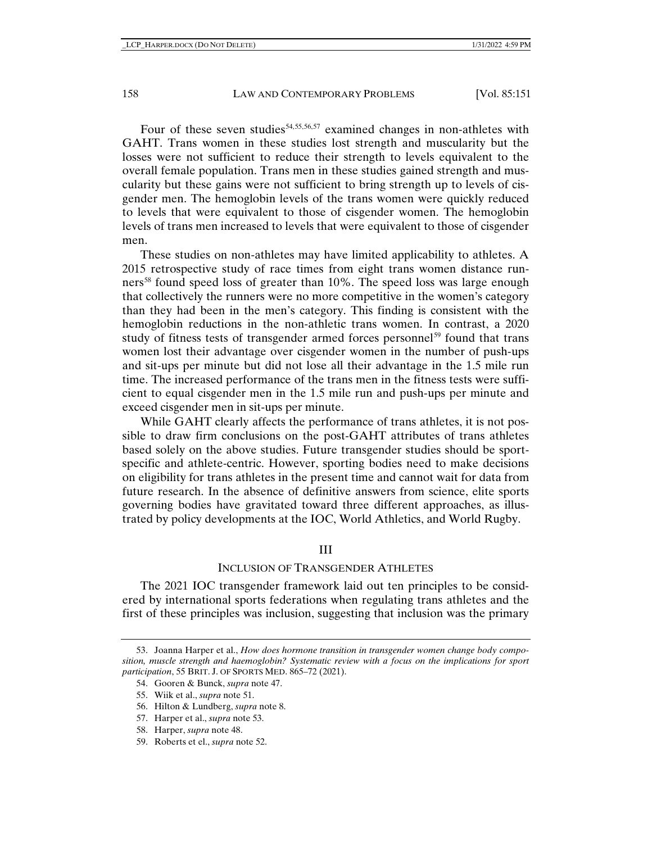Four of these seven studies<sup>54,[55,](#page-7-1)[56](#page-7-2),[57](#page-7-3)</sup> examined changes in non-athletes with GAHT. Trans women in these studies lost strength and muscularity but the losses were not sufficient to reduce their strength to levels equivalent to the overall female population. Trans men in these studies gained strength and muscularity but these gains were not sufficient to bring strength up to levels of cisgender men. The hemoglobin levels of the trans women were quickly reduced to levels that were equivalent to those of cisgender women. The hemoglobin levels of trans men increased to levels that were equivalent to those of cisgender men.

These studies on non-athletes may have limited applicability to athletes. A 2015 retrospective study of race times from eight trans women distance run-ners<sup>[58](#page-7-4)</sup> found speed loss of greater than 10%. The speed loss was large enough that collectively the runners were no more competitive in the women's category than they had been in the men's category. This finding is consistent with the hemoglobin reductions in the non-athletic trans women. In contrast, a 2020 study of fitness tests of transgender armed forces personnel<sup>[59](#page-7-5)</sup> found that trans women lost their advantage over cisgender women in the number of push-ups and sit-ups per minute but did not lose all their advantage in the 1.5 mile run time. The increased performance of the trans men in the fitness tests were sufficient to equal cisgender men in the 1.5 mile run and push-ups per minute and exceed cisgender men in sit-ups per minute.

While GAHT clearly affects the performance of trans athletes, it is not possible to draw firm conclusions on the post-GAHT attributes of trans athletes based solely on the above studies. Future transgender studies should be sportspecific and athlete-centric. However, sporting bodies need to make decisions on eligibility for trans athletes in the present time and cannot wait for data from future research. In the absence of definitive answers from science, elite sports governing bodies have gravitated toward three different approaches, as illustrated by policy developments at the IOC, World Athletics, and World Rugby.

#### III

#### INCLUSION OF TRANSGENDER ATHLETES

The 2021 IOC transgender framework laid out ten principles to be considered by international sports federations when regulating trans athletes and the first of these principles was inclusion, suggesting that inclusion was the primary

56. Hilton & Lundberg, *supra* note 8.

- <span id="page-7-4"></span>58. Harper, *supra* note 48.
- <span id="page-7-5"></span>59. Roberts et el., *supra* note 52.

<span id="page-7-2"></span><span id="page-7-1"></span><span id="page-7-0"></span><sup>53.</sup> Joanna Harper et al., *How does hormone transition in transgender women change body composition, muscle strength and haemoglobin? Systematic review with a focus on the implications for sport participation*, 55 BRIT. J. OF SPORTS MED. 865–72 (2021).

<sup>54.</sup> Gooren & Bunck, *supra* note 47.

<sup>55.</sup> Wiik et al., *supra* note 51.

<span id="page-7-3"></span><sup>57.</sup> Harper et al., *supra* note 53.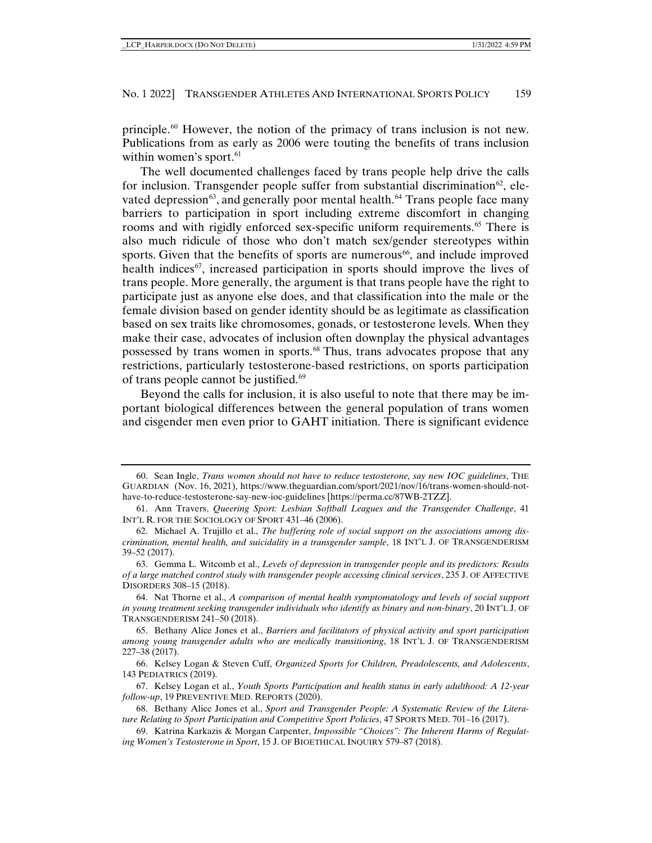principle.[60](#page-8-0) However, the notion of the primacy of trans inclusion is not new. Publications from as early as 2006 were touting the benefits of trans inclusion within women's sport. $61$ 

The well documented challenges faced by trans people help drive the calls for inclusion. Transgender people suffer from substantial discrimination<sup>62</sup>, elevated depression $^{63}$  $^{63}$  $^{63}$ , and generally poor mental health. $^{64}$  $^{64}$  $^{64}$  Trans people face many barriers to participation in sport including extreme discomfort in changing rooms and with rigidly enforced sex-specific uniform requirements.<sup>[65](#page-8-5)</sup> There is also much ridicule of those who don't match sex/gender stereotypes within sports. Given that the benefits of sports are numerous<sup>66</sup>, and include improved health indices $\frac{67}{7}$ , increased participation in sports should improve the lives of trans people. More generally, the argument is that trans people have the right to participate just as anyone else does, and that classification into the male or the female division based on gender identity should be as legitimate as classification based on sex traits like chromosomes, gonads, or testosterone levels. When they make their case, advocates of inclusion often downplay the physical advantages possessed by trans women in sports.<sup>[68](#page-8-8)</sup> Thus, trans advocates propose that any restrictions, particularly testosterone-based restrictions, on sports participation of trans people cannot be justified.<sup>[69](#page-8-9)</sup>

Beyond the calls for inclusion, it is also useful to note that there may be important biological differences between the general population of trans women and cisgender men even prior to GAHT initiation. There is significant evidence

<span id="page-8-0"></span><sup>60.</sup> Sean Ingle, *Trans women should not have to reduce testosterone, say new IOC guidelines*, THE GUARDIAN (Nov. 16, 2021), https://www.theguardian.com/sport/2021/nov/16/trans-women-should-nothave-to-reduce-testosterone-say-new-ioc-guidelines [https://perma.cc/87WB-2TZZ].

<span id="page-8-1"></span><sup>61.</sup> Ann Travers, *Queering Sport: Lesbian Softball Leagues and the Transgender Challenge*, 41 INT'L R. FOR THE SOCIOLOGY OF SPORT 431–46 (2006).

<span id="page-8-2"></span><sup>62.</sup> Michael A. Trujillo et al., *The buffering role of social support on the associations among discrimination, mental health, and suicidality in a transgender sample*, 18 INT'L J. OF TRANSGENDERISM 39–52 (2017).

<span id="page-8-3"></span><sup>63.</sup> Gemma L. Witcomb et al., *Levels of depression in transgender people and its predictors: Results of a large matched control study with transgender people accessing clinical services*, 235 J. OF AFFECTIVE DISORDERS 308–15 (2018).

<span id="page-8-4"></span><sup>64.</sup> Nat Thorne et al., *A comparison of mental health symptomatology and levels of social support in young treatment seeking transgender individuals who identify as binary and non-binary*, 20 INT'L J. OF TRANSGENDERISM 241–50 (2018).

<span id="page-8-5"></span><sup>65.</sup> Bethany Alice Jones et al., *Barriers and facilitators of physical activity and sport participation among young transgender adults who are medically transitioning*, 18 INT'L J. OF TRANSGENDERISM 227–38 (2017).

<span id="page-8-6"></span><sup>66.</sup> Kelsey Logan & Steven Cuff, *Organized Sports for Children, Preadolescents, and Adolescents*, 143 PEDIATRICS (2019).

<span id="page-8-7"></span><sup>67.</sup> Kelsey Logan et al., *Youth Sports Participation and health status in early adulthood: A 12-year follow-up*, 19 PREVENTIVE MED. REPORTS (2020).

<span id="page-8-8"></span><sup>68.</sup> Bethany Alice Jones et al., *Sport and Transgender People: A Systematic Review of the Literature Relating to Sport Participation and Competitive Sport Policies*, 47 SPORTS MED. 701–16 (2017).

<span id="page-8-9"></span><sup>69.</sup> Katrina Karkazis & Morgan Carpenter, *Impossible "Choices": The Inherent Harms of Regulating Women's Testosterone in Sport*, 15 J. OF BIOETHICAL INQUIRY 579–87 (2018).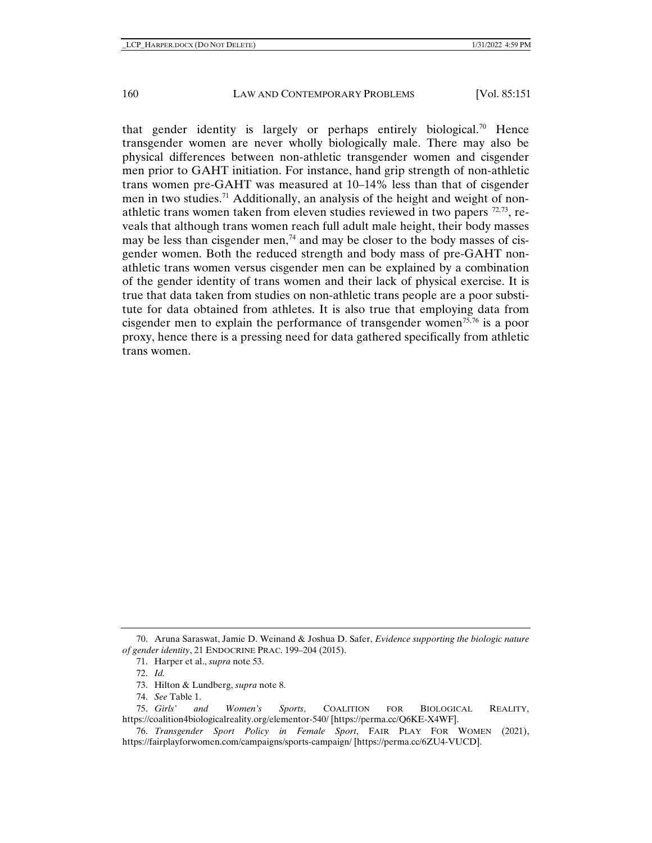that gender identity is largely or perhaps entirely biological.<sup>[70](#page-9-0)</sup> Hence transgender women are never wholly biologically male. There may also be physical differences between non-athletic transgender women and cisgender men prior to GAHT initiation. For instance, hand grip strength of non-athletic trans women pre-GAHT was measured at 10–14% less than that of cisgender men in two studies.<sup>[71](#page-9-1)</sup> Additionally, an analysis of the height and weight of nonathletic trans women taken from eleven studies reviewed in two papers  $^{72,73}$  $^{72,73}$  $^{72,73}$  $^{72,73}$ , reveals that although trans women reach full adult male height, their body masses may be less than cisgender men,<sup>74</sup> and may be closer to the body masses of cisgender women. Both the reduced strength and body mass of pre-GAHT nonathletic trans women versus cisgender men can be explained by a combination of the gender identity of trans women and their lack of physical exercise. It is true that data taken from studies on non-athletic trans people are a poor substitute for data obtained from athletes. It is also true that employing data from cisgender men to explain the performance of transgender women<sup>[75](#page-9-5),[76](#page-9-6)</sup> is a poor proxy, hence there is a pressing need for data gathered specifically from athletic trans women.

<span id="page-9-2"></span><span id="page-9-1"></span><span id="page-9-0"></span><sup>70.</sup> Aruna Saraswat, Jamie D. Weinand & Joshua D. Safer, *Evidence supporting the biologic nature of gender identity*, 21 ENDOCRINE PRAC. 199–204 (2015).

<sup>71.</sup> Harper et al., *supra* note 53.

<sup>72.</sup> *Id.*

<sup>73.</sup> Hilton & Lundberg, *supra* note 8.

<sup>74.</sup> *See* Table 1.

<span id="page-9-5"></span><span id="page-9-4"></span><span id="page-9-3"></span><sup>75.</sup> *Girls' and Women's Sports*, COALITION FOR BIOLOGICAL REALITY, https://coalition4biologicalreality.org/elementor-540/ [https://perma.cc/Q6KE-X4WF].

<span id="page-9-6"></span><sup>76.</sup> *Transgender Sport Policy in Female Sport*, FAIR PLAY FOR WOMEN (2021), https://fairplayforwomen.com/campaigns/sports-campaign/ [https://perma.cc/6ZU4-VUCD].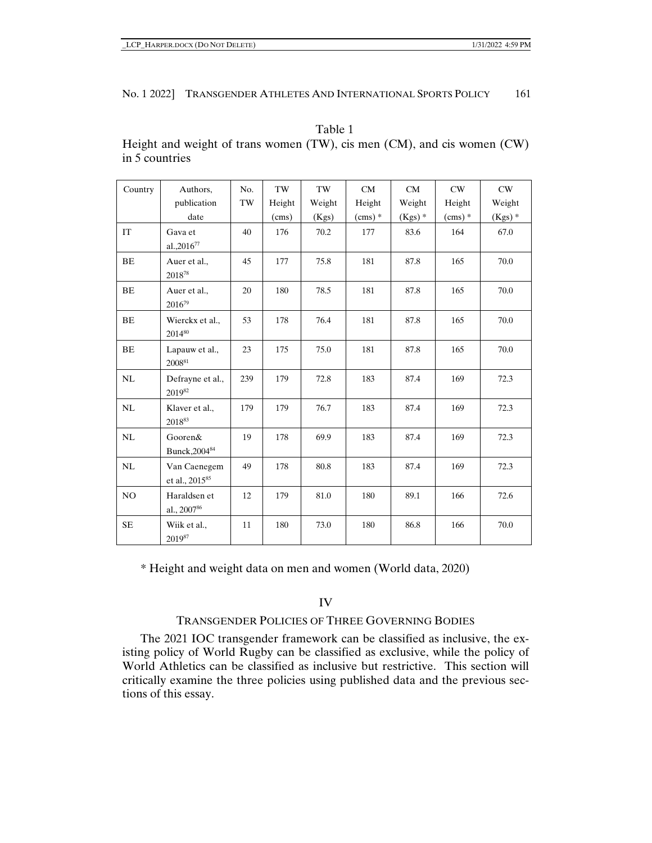| Country   | Authors,                                   | No. | TW     | TW     | CM       | CM        | CW       | CW       |
|-----------|--------------------------------------------|-----|--------|--------|----------|-----------|----------|----------|
|           | publication                                | TW  | Height | Weight | Height   | Weight    | Height   | Weight   |
|           | date                                       |     | (cms)  | (Kgs)  | $(cms)*$ | $(Kgs)$ * | $(cms)*$ | $(Kgs)*$ |
| IT        | Gava et<br>al.,2016 <sup>77</sup>          | 40  | 176    | 70.2   | 177      | 83.6      | 164      | 67.0     |
| BE        | Auer et al.,<br>$2018^{78}$                | 45  | 177    | 75.8   | 181      | 87.8      | 165      | 70.0     |
| BE        | Auer et al.,<br>201679                     | 20  | 180    | 78.5   | 181      | 87.8      | 165      | 70.0     |
| BE        | Wierckx et al.,<br>201480                  | 53  | 178    | 76.4   | 181      | 87.8      | 165      | 70.0     |
| BE        | Lapauw et al.,<br>200881                   | 23  | 175    | 75.0   | 181      | 87.8      | 165      | 70.0     |
| NL        | Defrayne et al.,<br>201982                 | 239 | 179    | 72.8   | 183      | 87.4      | 169      | 72.3     |
| NL        | Klaver et al.,<br>201883                   | 179 | 179    | 76.7   | 183      | 87.4      | 169      | 72.3     |
| NL        | Gooren&<br>Bunck, 2004 <sup>84</sup>       | 19  | 178    | 69.9   | 183      | 87.4      | 169      | 72.3     |
| NL        | Van Caenegem<br>et al., 2015 <sup>85</sup> | 49  | 178    | 80.8   | 183      | 87.4      | 169      | 72.3     |
| NO        | Haraldsen et<br>al., 2007 <sup>86</sup>    | 12  | 179    | 81.0   | 180      | 89.1      | 166      | 72.6     |
| <b>SE</b> | Wiik et al.,<br>$2019^{87}$                | 11  | 180    | 73.0   | 180      | 86.8      | 166      | 70.0     |

Table 1 Height and weight of trans women (TW), cis men (CM), and cis women (CW) in 5 countries

\* Height and weight data on men and women (World data, 2020)

IV

# TRANSGENDER POLICIES OF THREE GOVERNING BODIES

The 2021 IOC transgender framework can be classified as inclusive, the existing policy of World Rugby can be classified as exclusive, while the policy of World Athletics can be classified as inclusive but restrictive. This section will critically examine the three policies using published data and the previous sections of this essay.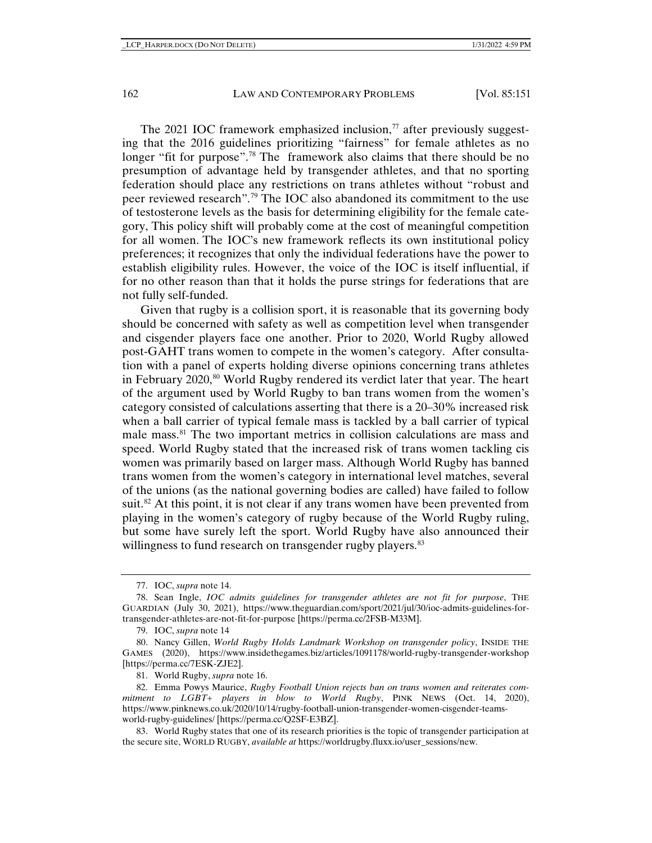The 2021 IOC framework emphasized inclusion, $\frac{7}{7}$  after previously suggesting that the 2016 guidelines prioritizing "fairness" for female athletes as no longer "fit for purpose".<sup>[78](#page-11-1)</sup> The framework also claims that there should be no presumption of advantage held by transgender athletes, and that no sporting federation should place any restrictions on trans athletes without "robust and peer reviewed research".[79](#page-11-2) The IOC also abandoned its commitment to the use of testosterone levels as the basis for determining eligibility for the female category, This policy shift will probably come at the cost of meaningful competition for all women. The IOC's new framework reflects its own institutional policy preferences; it recognizes that only the individual federations have the power to establish eligibility rules. However, the voice of the IOC is itself influential, if for no other reason than that it holds the purse strings for federations that are not fully self-funded.

Given that rugby is a collision sport, it is reasonable that its governing body should be concerned with safety as well as competition level when transgender and cisgender players face one another. Prior to 2020, World Rugby allowed post-GAHT trans women to compete in the women's category. After consultation with a panel of experts holding diverse opinions concerning trans athletes in February 2020,<sup>[80](#page-11-3)</sup> World Rugby rendered its verdict later that year. The heart of the argument used by World Rugby to ban trans women from the women's category consisted of calculations asserting that there is a 20–30% increased risk when a ball carrier of typical female mass is tackled by a ball carrier of typical male mass.<sup>[81](#page-11-4)</sup> The two important metrics in collision calculations are mass and speed. World Rugby stated that the increased risk of trans women tackling cis women was primarily based on larger mass. Although World Rugby has banned trans women from the women's category in international level matches, several of the unions (as the national governing bodies are called) have failed to follow suit.<sup>82</sup> At this point, it is not clear if any trans women have been prevented from playing in the women's category of rugby because of the World Rugby ruling, but some have surely left the sport. World Rugby have also announced their willingness to fund research on transgender rugby players.<sup>[83](#page-11-6)</sup>

<sup>77.</sup> IOC, *supra* note 14.

<span id="page-11-1"></span><span id="page-11-0"></span><sup>78.</sup> Sean Ingle, *IOC admits guidelines for transgender athletes are not fit for purpose*, THE GUARDIAN (July 30, 2021), https://www.theguardian.com/sport/2021/jul/30/ioc-admits-guidelines-fortransgender-athletes-are-not-fit-for-purpose [https://perma.cc/2FSB-M33M].

<sup>79.</sup> IOC, *supra* note 14

<span id="page-11-3"></span><span id="page-11-2"></span><sup>80.</sup> Nancy Gillen, *World Rugby Holds Landmark Workshop on transgender policy*, INSIDE THE GAMES (2020), https://www.insidethegames.biz/articles/1091178/world-rugby-transgender-workshop [https://perma.cc/7ESK-ZJE2].

<sup>81.</sup> World Rugby, *supra* note 16.

<span id="page-11-5"></span><span id="page-11-4"></span><sup>82.</sup> Emma Powys Maurice, *Rugby Football Union rejects ban on trans women and reiterates commitment to LGBT+ players in blow to World Rugby*, PINK NEWS (Oct. 14, 2020), https://www.pinknews.co.uk/2020/10/14/rugby-football-union-transgender-women-cisgender-teamsworld-rugby-guidelines/ [https://perma.cc/Q2SF-E3BZ].

<span id="page-11-6"></span><sup>83.</sup> World Rugby states that one of its research priorities is the topic of transgender participation at the secure site, WORLD RUGBY, *available at* https://worldrugby.fluxx.io/user\_sessions/new.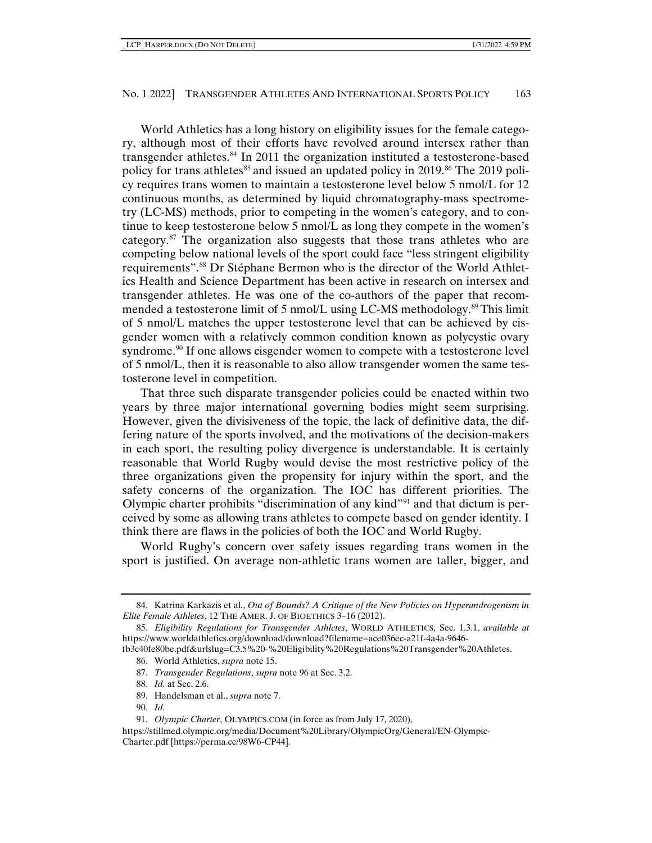World Athletics has a long history on eligibility issues for the female category, although most of their efforts have revolved around intersex rather than transgender athletes.<sup>[84](#page-12-0)</sup> In 2011 the organization instituted a testosterone-based policy for trans athletes<sup>[85](#page-12-1)</sup> and issued an updated policy in 2019.<sup>[86](#page-12-2)</sup> The 2019 policy requires trans women to maintain a testosterone level below 5 nmol/L for 12 continuous months, as determined by liquid chromatography-mass spectrometry (LC-MS) methods, prior to competing in the women's category, and to continue to keep testosterone below 5 nmol/L as long they compete in the women's category. $87$  The organization also suggests that those trans athletes who are competing below national levels of the sport could face "less stringent eligibility requirements".[88](#page-12-4) Dr Stéphane Bermon who is the director of the World Athletics Health and Science Department has been active in research on intersex and transgender athletes. He was one of the co-authors of the paper that recom-mended a testosterone limit of 5 nmol/L using LC-MS methodology.<sup>[89](#page-12-5)</sup> This limit of 5 nmol/L matches the upper testosterone level that can be achieved by cisgender women with a relatively common condition known as polycystic ovary syndrome.<sup>[90](#page-12-6)</sup> If one allows cisgender women to compete with a testosterone level of 5 nmol/L, then it is reasonable to also allow transgender women the same testosterone level in competition.

That three such disparate transgender policies could be enacted within two years by three major international governing bodies might seem surprising. However, given the divisiveness of the topic, the lack of definitive data, the differing nature of the sports involved, and the motivations of the decision-makers in each sport, the resulting policy divergence is understandable. It is certainly reasonable that World Rugby would devise the most restrictive policy of the three organizations given the propensity for injury within the sport, and the safety concerns of the organization. The IOC has different priorities. The Olympic charter prohibits "discrimination of any kind"[91](#page-12-7) and that dictum is perceived by some as allowing trans athletes to compete based on gender identity. I think there are flaws in the policies of both the IOC and World Rugby.

World Rugby's concern over safety issues regarding trans women in the sport is justified. On average non-athletic trans women are taller, bigger, and

<span id="page-12-0"></span><sup>84.</sup> Katrina Karkazis et al., *Out of Bounds? A Critique of the New Policies on Hyperandrogenism in Elite Female Athletes*, 12 THE AMER. J. OF BIOETHICS 3–16 (2012).

<span id="page-12-1"></span><sup>85.</sup> *Eligibility Regulations for Transgender Athletes*, WORLD ATHLETICS, Sec. 1.3.1, *available at*  https://www.worldathletics.org/download/download?filename=ace036ec-a21f-4a4a-9646-

<span id="page-12-4"></span><span id="page-12-3"></span><span id="page-12-2"></span>fb3c40fe80be.pdf&urlslug=C3.5%20-%20Eligibility%20Regulations%20Transgender%20Athletes. 86. World Athletics, *supra* note 15.

<sup>87.</sup> *Transgender Regulations*, *supra* note 96 at Sec. 3.2.

<sup>88.</sup> *Id.* at Sec. 2.6.

<sup>89.</sup> Handelsman et al., *supra* note 7.

<sup>90.</sup> *Id.*

<sup>91.</sup> *Olympic Charter*, OLYMPICS.COM (in force as from July 17, 2020),

<span id="page-12-7"></span><span id="page-12-6"></span><span id="page-12-5"></span>https://stillmed.olympic.org/media/Document%20Library/OlympicOrg/General/EN-Olympic-Charter.pdf [https://perma.cc/98W6-CP44].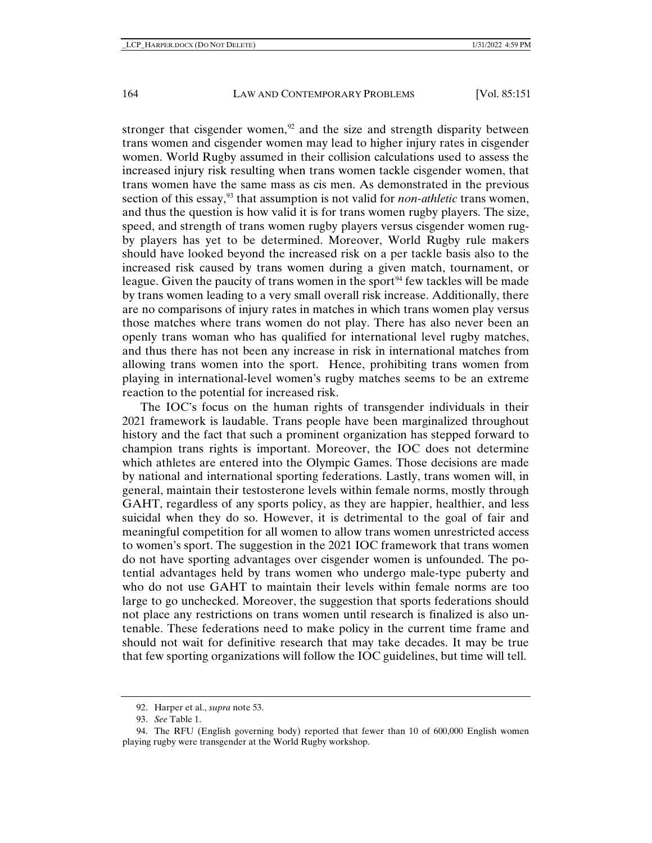stronger that cisgender women, $92$  and the size and strength disparity between trans women and cisgender women may lead to higher injury rates in cisgender women. World Rugby assumed in their collision calculations used to assess the increased injury risk resulting when trans women tackle cisgender women, that trans women have the same mass as cis men. As demonstrated in the previous section of this essay,<sup>[93](#page-13-1)</sup> that assumption is not valid for *non-athletic* trans women, and thus the question is how valid it is for trans women rugby players. The size, speed, and strength of trans women rugby players versus cisgender women rugby players has yet to be determined. Moreover, World Rugby rule makers should have looked beyond the increased risk on a per tackle basis also to the increased risk caused by trans women during a given match, tournament, or league. Given the paucity of trans women in the sport<sup>[94](#page-13-2)</sup> few tackles will be made by trans women leading to a very small overall risk increase. Additionally, there are no comparisons of injury rates in matches in which trans women play versus those matches where trans women do not play. There has also never been an openly trans woman who has qualified for international level rugby matches, and thus there has not been any increase in risk in international matches from allowing trans women into the sport. Hence, prohibiting trans women from playing in international-level women's rugby matches seems to be an extreme reaction to the potential for increased risk.

The IOC's focus on the human rights of transgender individuals in their 2021 framework is laudable. Trans people have been marginalized throughout history and the fact that such a prominent organization has stepped forward to champion trans rights is important. Moreover, the IOC does not determine which athletes are entered into the Olympic Games. Those decisions are made by national and international sporting federations. Lastly, trans women will, in general, maintain their testosterone levels within female norms, mostly through GAHT, regardless of any sports policy, as they are happier, healthier, and less suicidal when they do so. However, it is detrimental to the goal of fair and meaningful competition for all women to allow trans women unrestricted access to women's sport. The suggestion in the 2021 IOC framework that trans women do not have sporting advantages over cisgender women is unfounded. The potential advantages held by trans women who undergo male-type puberty and who do not use GAHT to maintain their levels within female norms are too large to go unchecked. Moreover, the suggestion that sports federations should not place any restrictions on trans women until research is finalized is also untenable. These federations need to make policy in the current time frame and should not wait for definitive research that may take decades. It may be true that few sporting organizations will follow the IOC guidelines, but time will tell.

<sup>92.</sup> Harper et al., *supra* note 53.

<sup>93.</sup> *See* Table 1.

<span id="page-13-2"></span><span id="page-13-1"></span><span id="page-13-0"></span><sup>94.</sup> The RFU (English governing body) reported that fewer than 10 of 600,000 English women playing rugby were transgender at the World Rugby workshop.